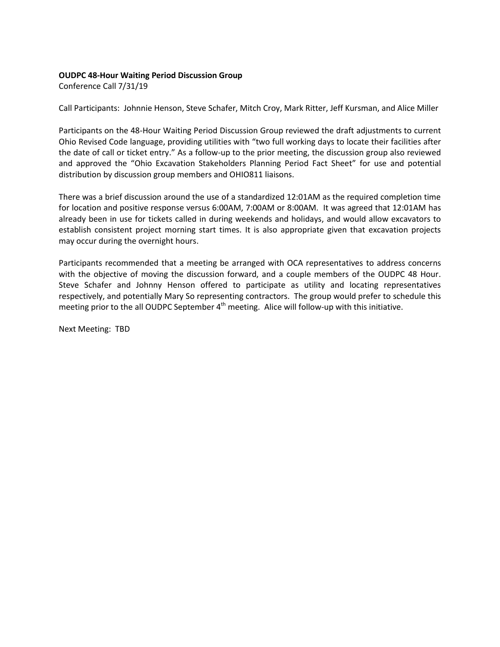## **OUDPC 48-Hour Waiting Period Discussion Group**

Conference Call 7/31/19

Call Participants: Johnnie Henson, Steve Schafer, Mitch Croy, Mark Ritter, Jeff Kursman, and Alice Miller

Participants on the 48-Hour Waiting Period Discussion Group reviewed the draft adjustments to current Ohio Revised Code language, providing utilities with "two full working days to locate their facilities after the date of call or ticket entry." As a follow-up to the prior meeting, the discussion group also reviewed and approved the "Ohio Excavation Stakeholders Planning Period Fact Sheet" for use and potential distribution by discussion group members and OHIO811 liaisons.

There was a brief discussion around the use of a standardized 12:01AM as the required completion time for location and positive response versus 6:00AM, 7:00AM or 8:00AM. It was agreed that 12:01AM has already been in use for tickets called in during weekends and holidays, and would allow excavators to establish consistent project morning start times. It is also appropriate given that excavation projects may occur during the overnight hours.

Participants recommended that a meeting be arranged with OCA representatives to address concerns with the objective of moving the discussion forward, and a couple members of the OUDPC 48 Hour. Steve Schafer and Johnny Henson offered to participate as utility and locating representatives respectively, and potentially Mary So representing contractors. The group would prefer to schedule this meeting prior to the all OUDPC September  $4<sup>th</sup>$  meeting. Alice will follow-up with this initiative.

Next Meeting: TBD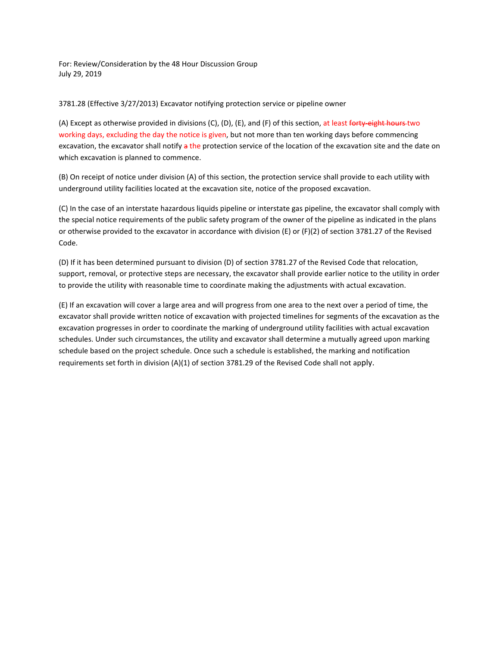For: Review/Consideration by the 48 Hour Discussion Group July 29, 2019

## 3781.28 (Effective 3/27/2013) Excavator notifying protection service or pipeline owner

(A) Except as otherwise provided in divisions (C), (D), (E), and (F) of this section, at least forty-eight hours two working days, excluding the day the notice is given, but not more than ten working days before commencing excavation, the excavator shall notify a the protection service of the location of the excavation site and the date on which excavation is planned to commence.

(B) On receipt of notice under division (A) of this section, the protection service shall provide to each utility with underground utility facilities located at the excavation site, notice of the proposed excavation.

(C) In the case of an interstate hazardous liquids pipeline or interstate gas pipeline, the excavator shall comply with the special notice requirements of the public safety program of the owner of the pipeline as indicated in the plans or otherwise provided to the excavator in accordance with division (E) or (F)(2) of section 3781.27 of the Revised Code.

(D) If it has been determined pursuant to division (D) of section 3781.27 of the Revised Code that relocation, support, removal, or protective steps are necessary, the excavator shall provide earlier notice to the utility in order to provide the utility with reasonable time to coordinate making the adjustments with actual excavation.

(E) If an excavation will cover a large area and will progress from one area to the next over a period of time, the excavator shall provide written notice of excavation with projected timelines for segments of the excavation as the excavation progresses in order to coordinate the marking of underground utility facilities with actual excavation schedules. Under such circumstances, the utility and excavator shall determine a mutually agreed upon marking schedule based on the project schedule. Once such a schedule is established, the marking and notification requirements set forth in division (A)(1) of section 3781.29 of the Revised Code shall not apply.